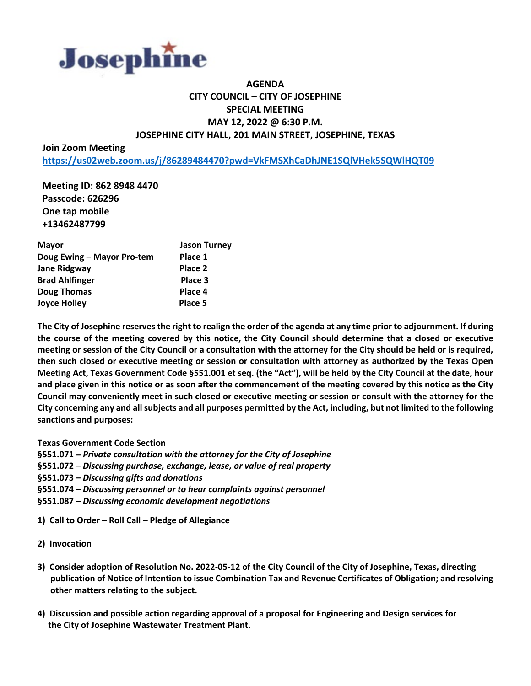

## **AGENDA CITY COUNCIL – CITY OF JOSEPHINE SPECIAL MEETING MAY 12, 2022 @ 6:30 P.M. JOSEPHINE CITY HALL, 201 MAIN STREET, JOSEPHINE, TEXAS**

**Join Zoom Meeting**

**<https://us02web.zoom.us/j/86289484470?pwd=VkFMSXhCaDhJNE1SQlVHek5SQWlHQT09>**

**Meeting ID: 862 8948 4470 Passcode: 626296 One tap mobile +13462487799**

| <b>Mayor</b>               | <b>Jason Turney</b> |
|----------------------------|---------------------|
| Doug Ewing - Mayor Pro-tem | Place 1             |
| <b>Jane Ridgway</b>        | Place 2             |
| <b>Brad Ahlfinger</b>      | Place 3             |
| <b>Doug Thomas</b>         | Place 4             |
| <b>Joyce Holley</b>        | Place 5             |
|                            |                     |

**The City of Josephine reserves the right to realign the order of the agenda at any time prior to adjournment. If during the course of the meeting covered by this notice, the City Council should determine that a closed or executive meeting or session of the City Council or a consultation with the attorney for the City should be held or is required, then such closed or executive meeting or session or consultation with attorney as authorized by the Texas Open Meeting Act, Texas Government Code §551.001 et seq. (the "Act"), will be held by the City Council at the date, hour and place given in this notice or as soon after the commencement of the meeting covered by this notice as the City Council may conveniently meet in such closed or executive meeting or session or consult with the attorney for the City concerning any and all subjects and all purposes permitted by the Act, including, but not limited to the following sanctions and purposes:**

**Texas Government Code Section**

**§551.071 –** *Private consultation with the attorney for the City of Josephine*

**§551.072 –** *Discussing purchase, exchange, lease, or value of real property*

**§551.073 –** *Discussing gifts and donations*

**§551.074 –** *Discussing personnel or to hear complaints against personnel*

**§551.087 –** *Discussing economic development negotiations*

**1) Call to Order – Roll Call – Pledge of Allegiance**

- **2) Invocation**
- **3) Consider adoption of Resolution No. 2022-05-12 of the City Council of the City of Josephine, Texas, directing publication of Notice of Intention to issue Combination Tax and Revenue Certificates of Obligation; and resolving other matters relating to the subject.**
- **4) Discussion and possible action regarding approval of a proposal for Engineering and Design services for the City of Josephine Wastewater Treatment Plant.**